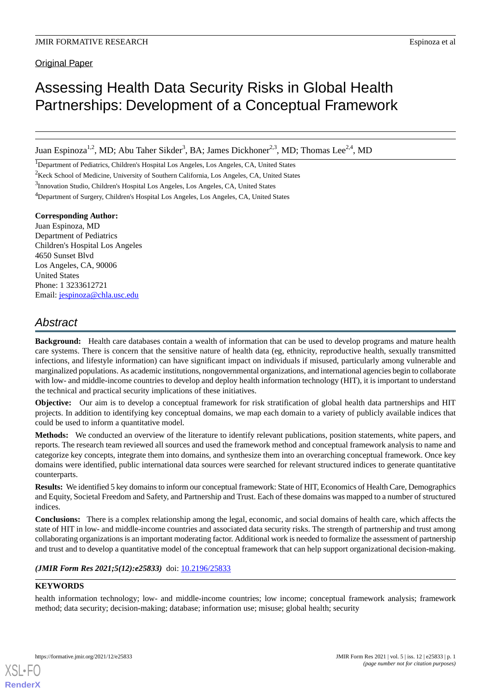Original Paper

# Assessing Health Data Security Risks in Global Health Partnerships: Development of a Conceptual Framework

Juan Espinoza<sup>1,2</sup>, MD; Abu Taher Sikder<sup>3</sup>, BA; James Dickhoner<sup>2,3</sup>, MD; Thomas Lee<sup>2,4</sup>, MD

<sup>1</sup>Department of Pediatrics, Children's Hospital Los Angeles, Los Angeles, CA, United States

<sup>2</sup>Keck School of Medicine, University of Southern California, Los Angeles, CA, United States

<sup>3</sup>Innovation Studio, Children's Hospital Los Angeles, Los Angeles, CA, United States

<sup>4</sup>Department of Surgery, Children's Hospital Los Angeles, Los Angeles, CA, United States

#### **Corresponding Author:**

Juan Espinoza, MD Department of Pediatrics Children's Hospital Los Angeles 4650 Sunset Blvd Los Angeles, CA, 90006 United States Phone: 1 3233612721 Email: [jespinoza@chla.usc.edu](mailto:jespinoza@chla.usc.edu)

## *Abstract*

**Background:** Health care databases contain a wealth of information that can be used to develop programs and mature health care systems. There is concern that the sensitive nature of health data (eg, ethnicity, reproductive health, sexually transmitted infections, and lifestyle information) can have significant impact on individuals if misused, particularly among vulnerable and marginalized populations. As academic institutions, nongovernmental organizations, and international agencies begin to collaborate with low- and middle-income countries to develop and deploy health information technology (HIT), it is important to understand the technical and practical security implications of these initiatives.

**Objective:** Our aim is to develop a conceptual framework for risk stratification of global health data partnerships and HIT projects. In addition to identifying key conceptual domains, we map each domain to a variety of publicly available indices that could be used to inform a quantitative model.

**Methods:** We conducted an overview of the literature to identify relevant publications, position statements, white papers, and reports. The research team reviewed all sources and used the framework method and conceptual framework analysis to name and categorize key concepts, integrate them into domains, and synthesize them into an overarching conceptual framework. Once key domains were identified, public international data sources were searched for relevant structured indices to generate quantitative counterparts.

**Results:** We identified 5 key domains to inform our conceptual framework: State of HIT, Economics of Health Care, Demographics and Equity, Societal Freedom and Safety, and Partnership and Trust. Each of these domains was mapped to a number of structured indices.

**Conclusions:** There is a complex relationship among the legal, economic, and social domains of health care, which affects the state of HIT in low- and middle-income countries and associated data security risks. The strength of partnership and trust among collaborating organizations is an important moderating factor. Additional work is needed to formalize the assessment of partnership and trust and to develop a quantitative model of the conceptual framework that can help support organizational decision-making.

(JMIR Form Res 2021;5(12):e25833) doi: [10.2196/25833](http://dx.doi.org/10.2196/25833)

#### **KEYWORDS**

[XSL](http://www.w3.org/Style/XSL)•FO **[RenderX](http://www.renderx.com/)**

health information technology; low- and middle-income countries; low income; conceptual framework analysis; framework method; data security; decision-making; database; information use; misuse; global health; security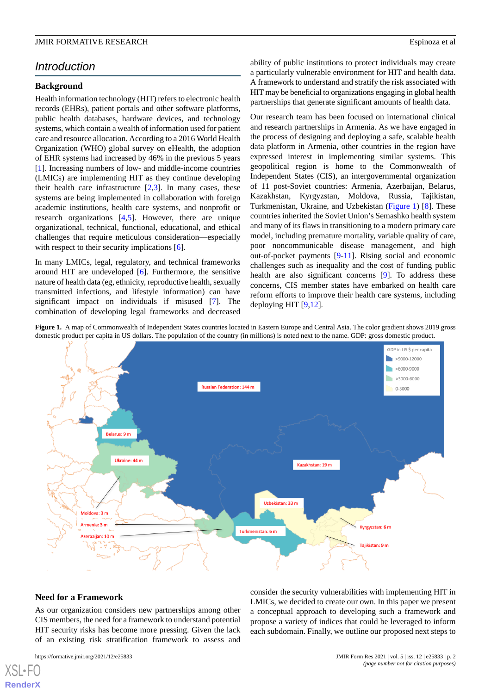## *Introduction*

#### **Background**

Health information technology (HIT) refers to electronic health records (EHRs), patient portals and other software platforms, public health databases, hardware devices, and technology systems, which contain a wealth of information used for patient care and resource allocation. According to a 2016 World Health Organization (WHO) global survey on eHealth, the adoption of EHR systems had increased by 46% in the previous 5 years [[1\]](#page-9-0). Increasing numbers of low- and middle-income countries (LMICs) are implementing HIT as they continue developing their health care infrastructure [[2](#page-9-1)[,3](#page-9-2)]. In many cases, these systems are being implemented in collaboration with foreign academic institutions, health care systems, and nonprofit or research organizations [\[4](#page-10-0),[5\]](#page-10-1). However, there are unique organizational, technical, functional, educational, and ethical challenges that require meticulous consideration—especially with respect to their security implications [\[6](#page-10-2)].

In many LMICs, legal, regulatory, and technical frameworks around HIT are undeveloped [\[6](#page-10-2)]. Furthermore, the sensitive nature of health data (eg, ethnicity, reproductive health, sexually transmitted infections, and lifestyle information) can have significant impact on individuals if misused [\[7](#page-10-3)]. The combination of developing legal frameworks and decreased

ability of public institutions to protect individuals may create a particularly vulnerable environment for HIT and health data. A framework to understand and stratify the risk associated with HIT may be beneficial to organizations engaging in global health partnerships that generate significant amounts of health data.

Our research team has been focused on international clinical and research partnerships in Armenia. As we have engaged in the process of designing and deploying a safe, scalable health data platform in Armenia, other countries in the region have expressed interest in implementing similar systems. This geopolitical region is home to the Commonwealth of Independent States (CIS), an intergovernmental organization of 11 post-Soviet countries: Armenia, Azerbaijan, Belarus, Kazakhstan, Kyrgyzstan, Moldova, Russia, Tajikistan, Turkmenistan, Ukraine, and Uzbekistan [\(Figure 1](#page-1-0)) [[8\]](#page-10-4). These countries inherited the Soviet Union's Semashko health system and many of its flaws in transitioning to a modern primary care model, including premature mortality, variable quality of care, poor noncommunicable disease management, and high out-of-pocket payments [\[9](#page-10-5)-[11\]](#page-10-6). Rising social and economic challenges such as inequality and the cost of funding public health are also significant concerns [[9\]](#page-10-5). To address these concerns, CIS member states have embarked on health care reform efforts to improve their health care systems, including deploying HIT [\[9,](#page-10-5)[12](#page-10-7)].

<span id="page-1-0"></span>



#### **Need for a Framework**

As our organization considers new partnerships among other CIS members, the need for a framework to understand potential HIT security risks has become more pressing. Given the lack of an existing risk stratification framework to assess and

[XSL](http://www.w3.org/Style/XSL)•FO **[RenderX](http://www.renderx.com/)**

consider the security vulnerabilities with implementing HIT in LMICs, we decided to create our own. In this paper we present a conceptual approach to developing such a framework and propose a variety of indices that could be leveraged to inform each subdomain. Finally, we outline our proposed next steps to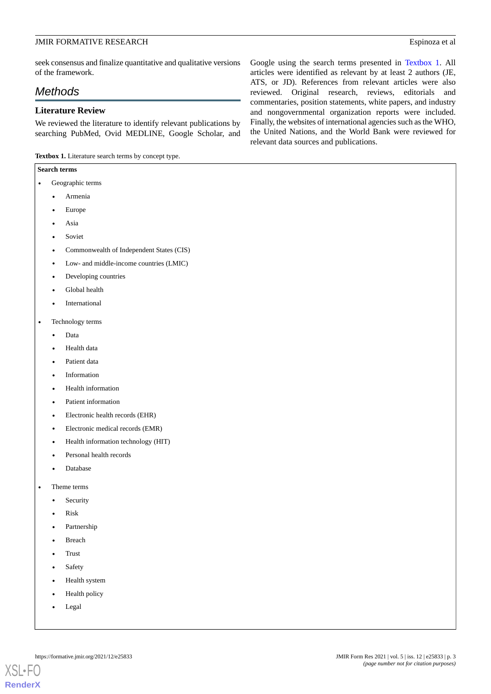seek consensus and finalize quantitative and qualitative versions of the framework.

## *Methods*

#### **Literature Review**

We reviewed the literature to identify relevant publications by searching PubMed, Ovid MEDLINE, Google Scholar, and

<span id="page-2-0"></span>**Textbox 1.** Literature search terms by concept type.

#### **Search terms**

- Geographic terms
	- Armenia
	- Europe
	- Asia
	- **Soviet**
	- Commonwealth of Independent States (CIS)
	- Low- and middle-income countries (LMIC)
	- Developing countries
	- Global health
	- **International**
- Technology terms
	- Data
	- Health data
	- Patient data
	- **Information**
	- Health information
	- Patient information
	- Electronic health records (EHR)
	- Electronic medical records (EMR)
	- Health information technology (HIT)
	- Personal health records
	- Database
- Theme terms
	- **Security**
	- Risk
	- Partnership
	- Breach
	- Trust
	- Safety
	- Health system
	- Health policy
	- Legal

Google using the search terms presented in [Textbox 1](#page-2-0). All articles were identified as relevant by at least 2 authors (JE, ATS, or JD). References from relevant articles were also reviewed. Original research, reviews, editorials and commentaries, position statements, white papers, and industry and nongovernmental organization reports were included. Finally, the websites of international agencies such as the WHO, the United Nations, and the World Bank were reviewed for relevant data sources and publications.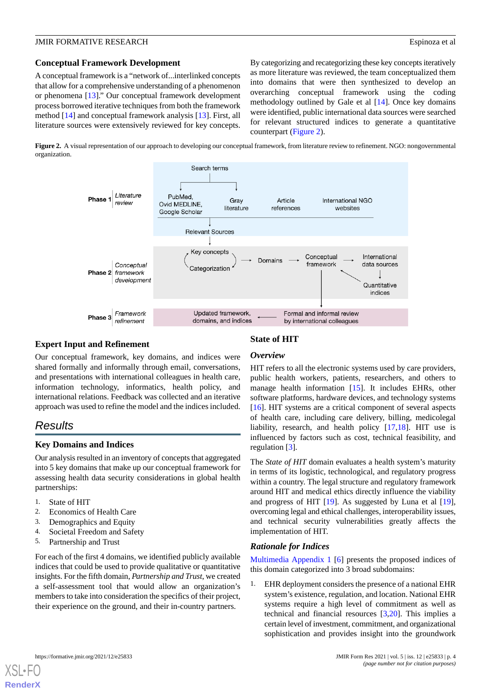#### **JMIR FORMATIVE RESEARCH** Espinoza et al. **Espinoza et al. Espinoza et al. Espinoza et al. Espinoza et al. Espinoza et al. Espinoza et al. Espinoza et al. Espinoza et al. Espinoza et al. Espinoza et al.**

#### **Conceptual Framework Development**

A conceptual framework is a "network of...interlinked concepts that allow for a comprehensive understanding of a phenomenon or phenomena [\[13](#page-10-8)]." Our conceptual framework development process borrowed iterative techniques from both the framework method [\[14](#page-10-9)] and conceptual framework analysis [\[13](#page-10-8)]. First, all literature sources were extensively reviewed for key concepts.

By categorizing and recategorizing these key concepts iteratively as more literature was reviewed, the team conceptualized them into domains that were then synthesized to develop an overarching conceptual framework using the coding methodology outlined by Gale et al [\[14](#page-10-9)]. Once key domains were identified, public international data sources were searched for relevant structured indices to generate a quantitative counterpart [\(Figure 2\)](#page-3-0).

<span id="page-3-0"></span>**Figure 2.** A visual representation of our approach to developing our conceptual framework, from literature review to refinement. NGO: nongovernmental organization.



#### **Expert Input and Refinement**

Our conceptual framework, key domains, and indices were shared formally and informally through email, conversations, and presentations with international colleagues in health care, information technology, informatics, health policy, and international relations. Feedback was collected and an iterative approach was used to refine the model and the indices included.

## *Results*

#### **Key Domains and Indices**

Our analysis resulted in an inventory of concepts that aggregated into 5 key domains that make up our conceptual framework for assessing health data security considerations in global health partnerships:

- 1. State of HIT
- 2. Economics of Health Care
- 3. Demographics and Equity
- 4. Societal Freedom and Safety
- 5. Partnership and Trust

For each of the first 4 domains, we identified publicly available indices that could be used to provide qualitative or quantitative insights. For the fifth domain, *Partnership and Trust*, we created a self-assessment tool that would allow an organization's members to take into consideration the specifics of their project, their experience on the ground, and their in-country partners.

### **State of HIT**

#### *Overview*

HIT refers to all the electronic systems used by care providers, public health workers, patients, researchers, and others to manage health information [\[15](#page-10-10)]. It includes EHRs, other software platforms, hardware devices, and technology systems [[16\]](#page-10-11). HIT systems are a critical component of several aspects of health care, including care delivery, billing, medicolegal liability, research, and health policy [[17,](#page-10-12)[18](#page-10-13)]. HIT use is influenced by factors such as cost, technical feasibility, and regulation [[3\]](#page-9-2).

The *State of HIT* domain evaluates a health system's maturity in terms of its logistic, technological, and regulatory progress within a country. The legal structure and regulatory framework around HIT and medical ethics directly influence the viability and progress of HIT [[19\]](#page-10-14). As suggested by Luna et al [[19\]](#page-10-14), overcoming legal and ethical challenges, interoperability issues, and technical security vulnerabilities greatly affects the implementation of HIT.

#### *Rationale for Indices*

[Multimedia Appendix 1](#page-9-3) [[6\]](#page-10-2) presents the proposed indices of this domain categorized into 3 broad subdomains:

1. EHR deployment considers the presence of a national EHR system's existence, regulation, and location. National EHR systems require a high level of commitment as well as technical and financial resources [[3,](#page-9-2)[20](#page-10-15)]. This implies a certain level of investment, commitment, and organizational sophistication and provides insight into the groundwork

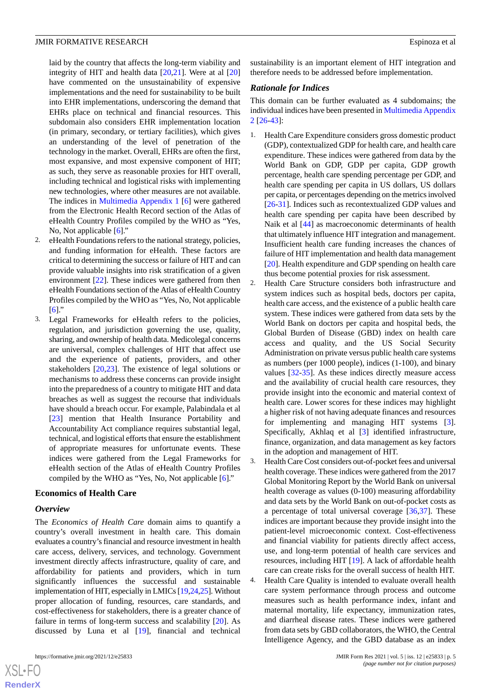laid by the country that affects the long-term viability and integrity of HIT and health data [[20,](#page-10-15)[21](#page-10-16)]. Were at al [\[20](#page-10-15)] have commented on the unsustainability of expensive implementations and the need for sustainability to be built into EHR implementations, underscoring the demand that EHRs place on technical and financial resources. This subdomain also considers EHR implementation location (in primary, secondary, or tertiary facilities), which gives an understanding of the level of penetration of the technology in the market. Overall, EHRs are often the first, most expansive, and most expensive component of HIT; as such, they serve as reasonable proxies for HIT overall, including technical and logistical risks with implementing new technologies, where other measures are not available. The indices in [Multimedia Appendix 1](#page-9-3) [[6](#page-10-2)] were gathered from the Electronic Health Record section of the Atlas of eHealth Country Profiles compiled by the WHO as "Yes, No, Not applicable [\[6](#page-10-2)]."

- 2. eHealth Foundations refers to the national strategy, policies, and funding information for eHealth. These factors are critical to determining the success or failure of HIT and can provide valuable insights into risk stratification of a given environment [[22\]](#page-10-17). These indices were gathered from then eHealth Foundations section of the Atlas of eHealth Country Profiles compiled by the WHO as "Yes, No, Not applicable  $[6]$  $[6]$
- 3. Legal Frameworks for eHealth refers to the policies, regulation, and jurisdiction governing the use, quality, sharing, and ownership of health data. Medicolegal concerns are universal, complex challenges of HIT that affect use and the experience of patients, providers, and other stakeholders [\[20](#page-10-15),[23\]](#page-10-18). The existence of legal solutions or mechanisms to address these concerns can provide insight into the preparedness of a country to mitigate HIT and data breaches as well as suggest the recourse that individuals have should a breach occur. For example, Palabindala et al [[23\]](#page-10-18) mention that Health Insurance Portability and Accountability Act compliance requires substantial legal, technical, and logistical efforts that ensure the establishment of appropriate measures for unfortunate events. These indices were gathered from the Legal Frameworks for eHealth section of the Atlas of eHealth Country Profiles compiled by the WHO as "Yes, No, Not applicable [\[6](#page-10-2)]."

#### **Economics of Health Care**

#### *Overview*

 $XS$  $\cdot$ FC **[RenderX](http://www.renderx.com/)**

The *Economics of Health Care* domain aims to quantify a country's overall investment in health care. This domain evaluates a country's financial and resource investment in health care access, delivery, services, and technology. Government investment directly affects infrastructure, quality of care, and affordability for patients and providers, which in turn significantly influences the successful and sustainable implementation of HIT, especially in LMICs [[19](#page-10-14),[24](#page-10-19),[25\]](#page-10-20). Without proper allocation of funding, resources, care standards, and cost-effectiveness for stakeholders, there is a greater chance of failure in terms of long-term success and scalability [\[20](#page-10-15)]. As discussed by Luna et al [[19\]](#page-10-14), financial and technical

sustainability is an important element of HIT integration and therefore needs to be addressed before implementation.

#### *Rationale for Indices*

This domain can be further evaluated as 4 subdomains; the individual indices have been presented in [Multimedia Appendix](#page-9-4) [2](#page-9-4) [\[26](#page-10-21)-[43\]](#page-11-0):

- 1. Health Care Expenditure considers gross domestic product (GDP), contextualized GDP for health care, and health care expenditure. These indices were gathered from data by the World Bank on GDP, GDP per capita, GDP growth percentage, health care spending percentage per GDP, and health care spending per capita in US dollars, US dollars per capita, or percentages depending on the metrics involved [[26](#page-10-21)[-31](#page-11-1)]. Indices such as recontextualized GDP values and health care spending per capita have been described by Naik et al [\[44](#page-11-2)] as macroeconomic determinants of health that ultimately influence HIT integration and management. Insufficient health care funding increases the chances of failure of HIT implementation and health data management [[20\]](#page-10-15). Health expenditure and GDP spending on health care thus become potential proxies for risk assessment.
- 2. Health Care Structure considers both infrastructure and system indices such as hospital beds, doctors per capita, health care access, and the existence of a public health care system. These indices were gathered from data sets by the World Bank on doctors per capita and hospital beds, the Global Burden of Disease (GBD) index on health care access and quality, and the US Social Security Administration on private versus public health care systems as numbers (per 1000 people), indices (1-100), and binary values [[32](#page-11-3)[-35](#page-11-4)]. As these indices directly measure access and the availability of crucial health care resources, they provide insight into the economic and material context of health care. Lower scores for these indices may highlight a higher risk of not having adequate finances and resources for implementing and managing HIT systems [[3\]](#page-9-2). Specifically, Akhlaq et al [\[3](#page-9-2)] identified infrastructure, finance, organization, and data management as key factors in the adoption and management of HIT.

3. Health Care Cost considers out-of-pocket fees and universal health coverage. These indices were gathered from the 2017 Global Monitoring Report by the World Bank on universal health coverage as values (0-100) measuring affordability and data sets by the World Bank on out-of-pocket costs as a percentage of total universal coverage [\[36](#page-11-5),[37\]](#page-11-6). These indices are important because they provide insight into the patient-level microeconomic context. Cost-effectiveness and financial viability for patients directly affect access, use, and long-term potential of health care services and resources, including HIT [\[19](#page-10-14)]. A lack of affordable health care can create risks for the overall success of health HIT.

4. Health Care Quality is intended to evaluate overall health care system performance through process and outcome measures such as health performance index, infant and maternal mortality, life expectancy, immunization rates, and diarrheal disease rates. These indices were gathered from data sets by GBD collaborators, the WHO, the Central Intelligence Agency, and the GBD database as an index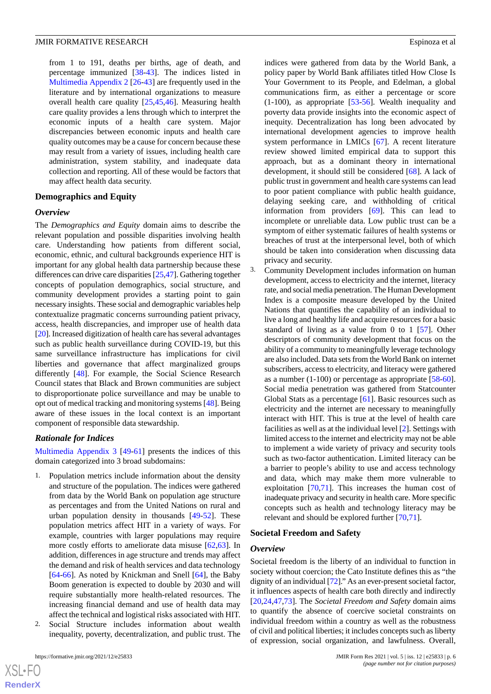from 1 to 191, deaths per births, age of death, and percentage immunized [[38-](#page-11-7)[43](#page-11-0)]. The indices listed in [Multimedia Appendix 2](#page-9-4) [\[26](#page-10-21)-[43\]](#page-11-0) are frequently used in the literature and by international organizations to measure overall health care quality [[25,](#page-10-20)[45](#page-11-8)[,46](#page-11-9)]. Measuring health care quality provides a lens through which to interpret the economic inputs of a health care system. Major discrepancies between economic inputs and health care quality outcomes may be a cause for concern because these may result from a variety of issues, including health care administration, system stability, and inadequate data collection and reporting. All of these would be factors that may affect health data security.

#### **Demographics and Equity**

#### *Overview*

The *Demographics and Equity* domain aims to describe the relevant population and possible disparities involving health care. Understanding how patients from different social, economic, ethnic, and cultural backgrounds experience HIT is important for any global health data partnership because these differences can drive care disparities [[25](#page-10-20),[47\]](#page-11-10). Gathering together concepts of population demographics, social structure, and community development provides a starting point to gain necessary insights. These social and demographic variables help contextualize pragmatic concerns surrounding patient privacy, access, health discrepancies, and improper use of health data [[20\]](#page-10-15). Increased digitization of health care has several advantages such as public health surveillance during COVID-19, but this same surveillance infrastructure has implications for civil liberties and governance that affect marginalized groups differently [\[48](#page-11-11)]. For example, the Social Science Research Council states that Black and Brown communities are subject to disproportionate police surveillance and may be unable to opt out of medical tracking and monitoring systems [\[48](#page-11-11)]. Being aware of these issues in the local context is an important component of responsible data stewardship.

#### *Rationale for Indices*

[Multimedia Appendix 3](#page-9-5) [[49](#page-11-12)[-61](#page-12-0)] presents the indices of this domain categorized into 3 broad subdomains:

- 1. Population metrics include information about the density and structure of the population. The indices were gathered from data by the World Bank on population age structure as percentages and from the United Nations on rural and urban population density in thousands [\[49](#page-11-12)[-52](#page-11-13)]. These population metrics affect HIT in a variety of ways. For example, countries with larger populations may require more costly efforts to ameliorate data misuse [[62,](#page-12-1)[63](#page-12-2)]. In addition, differences in age structure and trends may affect the demand and risk of health services and data technology [[64](#page-12-3)[-66](#page-12-4)]. As noted by Knickman and Snell [\[64](#page-12-3)], the Baby Boom generation is expected to double by 2030 and will require substantially more health-related resources. The increasing financial demand and use of health data may affect the technical and logistical risks associated with HIT.
- Social Structure includes information about wealth inequality, poverty, decentralization, and public trust. The

 $XS$ -FO **[RenderX](http://www.renderx.com/)** indices were gathered from data by the World Bank, a policy paper by World Bank affiliates titled How Close Is Your Government to its People, and Edelman, a global communications firm, as either a percentage or score (1-100), as appropriate [[53-](#page-11-14)[56](#page-11-15)]. Wealth inequality and poverty data provide insights into the economic aspect of inequity. Decentralization has long been advocated by international development agencies to improve health system performance in LMICs [\[67](#page-12-5)]. A recent literature review showed limited empirical data to support this approach, but as a dominant theory in international development, it should still be considered [[68\]](#page-12-6). A lack of public trust in government and health care systems can lead to poor patient compliance with public health guidance, delaying seeking care, and withholding of critical information from providers [[69\]](#page-12-7). This can lead to incomplete or unreliable data. Low public trust can be a symptom of either systematic failures of health systems or breaches of trust at the interpersonal level, both of which should be taken into consideration when discussing data privacy and security.

3. Community Development includes information on human development, access to electricity and the internet, literacy rate, and social media penetration. The Human Development Index is a composite measure developed by the United Nations that quantifies the capability of an individual to live a long and healthy life and acquire resources for a basic standard of living as a value from 0 to 1 [\[57](#page-11-16)]. Other descriptors of community development that focus on the ability of a community to meaningfully leverage technology are also included. Data sets from the World Bank on internet subscribers, access to electricity, and literacy were gathered as a number (1-100) or percentage as appropriate [[58-](#page-12-8)[60\]](#page-12-9). Social media penetration was gathered from Statcounter Global Stats as a percentage [[61\]](#page-12-0). Basic resources such as electricity and the internet are necessary to meaningfully interact with HIT. This is true at the level of health care facilities as well as at the individual level [[2\]](#page-9-1). Settings with limited access to the internet and electricity may not be able to implement a wide variety of privacy and security tools such as two-factor authentication. Limited literacy can be a barrier to people's ability to use and access technology and data, which may make them more vulnerable to exploitation [\[70](#page-12-10)[,71](#page-12-11)]. This increases the human cost of inadequate privacy and security in health care. More specific concepts such as health and technology literacy may be relevant and should be explored further [\[70](#page-12-10),[71\]](#page-12-11).

#### **Societal Freedom and Safety**

#### *Overview*

Societal freedom is the liberty of an individual to function in society without coercion; the Cato Institute defines this as "the dignity of an individual [\[72\]](#page-12-12)." As an ever-present societal factor, it influences aspects of health care both directly and indirectly [[20,](#page-10-15)[24,](#page-10-19)[47](#page-11-10)[,73](#page-12-13)]. The *Societal Freedom and Safety* domain aims to quantify the absence of coercive societal constraints on individual freedom within a country as well as the robustness of civil and political liberties; it includes concepts such as liberty of expression, social organization, and lawfulness. Overall,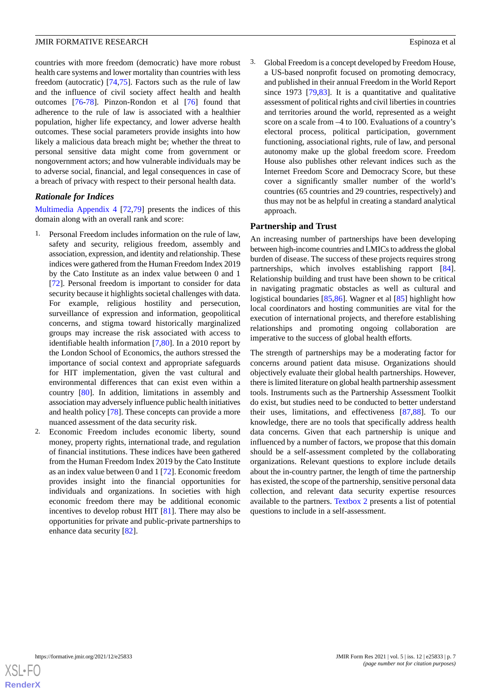countries with more freedom (democratic) have more robust health care systems and lower mortality than countries with less freedom (autocratic) [\[74](#page-12-14),[75\]](#page-12-15). Factors such as the rule of law and the influence of civil society affect health and health outcomes [[76-](#page-12-16)[78](#page-12-17)]. Pinzon-Rondon et al [[76\]](#page-12-16) found that adherence to the rule of law is associated with a healthier population, higher life expectancy, and lower adverse health outcomes. These social parameters provide insights into how likely a malicious data breach might be; whether the threat to personal sensitive data might come from government or nongovernment actors; and how vulnerable individuals may be to adverse social, financial, and legal consequences in case of a breach of privacy with respect to their personal health data.

#### *Rationale for Indices*

[Multimedia Appendix 4](#page-9-6) [\[72](#page-12-12),[79\]](#page-12-18) presents the indices of this domain along with an overall rank and score:

- 1. Personal Freedom includes information on the rule of law, safety and security, religious freedom, assembly and association, expression, and identity and relationship. These indices were gathered from the Human Freedom Index 2019 by the Cato Institute as an index value between 0 and 1 [[72\]](#page-12-12). Personal freedom is important to consider for data security because it highlights societal challenges with data. For example, religious hostility and persecution, surveillance of expression and information, geopolitical concerns, and stigma toward historically marginalized groups may increase the risk associated with access to identifiable health information [\[7](#page-10-3),[80\]](#page-12-19). In a 2010 report by the London School of Economics, the authors stressed the importance of social context and appropriate safeguards for HIT implementation, given the vast cultural and environmental differences that can exist even within a country [[80\]](#page-12-19). In addition, limitations in assembly and association may adversely influence public health initiatives and health policy [[78\]](#page-12-17). These concepts can provide a more nuanced assessment of the data security risk.
- 2. Economic Freedom includes economic liberty, sound money, property rights, international trade, and regulation of financial institutions. These indices have been gathered from the Human Freedom Index 2019 by the Cato Institute as an index value between 0 and 1 [[72\]](#page-12-12). Economic freedom provides insight into the financial opportunities for individuals and organizations. In societies with high economic freedom there may be additional economic incentives to develop robust HIT [\[81](#page-12-20)]. There may also be opportunities for private and public-private partnerships to enhance data security [\[82](#page-12-21)].

3. Global Freedom is a concept developed by Freedom House, a US-based nonprofit focused on promoting democracy, and published in their annual Freedom in the World Report since 1973  $[79,83]$  $[79,83]$  $[79,83]$ . It is a quantitative and qualitative assessment of political rights and civil liberties in countries and territories around the world, represented as a weight score on a scale from –4 to 100. Evaluations of a country's electoral process, political participation, government functioning, associational rights, rule of law, and personal autonomy make up the global freedom score. Freedom House also publishes other relevant indices such as the Internet Freedom Score and Democracy Score, but these cover a significantly smaller number of the world's countries (65 countries and 29 countries, respectively) and thus may not be as helpful in creating a standard analytical approach.

#### **Partnership and Trust**

An increasing number of partnerships have been developing between high-income countries and LMICs to address the global burden of disease. The success of these projects requires strong partnerships, which involves establishing rapport [[84\]](#page-12-23). Relationship building and trust have been shown to be critical in navigating pragmatic obstacles as well as cultural and logistical boundaries [[85,](#page-13-0)[86\]](#page-13-1). Wagner et al [[85\]](#page-13-0) highlight how local coordinators and hosting communities are vital for the execution of international projects, and therefore establishing relationships and promoting ongoing collaboration are imperative to the success of global health efforts.

The strength of partnerships may be a moderating factor for concerns around patient data misuse. Organizations should objectively evaluate their global health partnerships. However, there is limited literature on global health partnership assessment tools. Instruments such as the Partnership Assessment Toolkit do exist, but studies need to be conducted to better understand their uses, limitations, and effectiveness [\[87](#page-13-2),[88\]](#page-13-3). To our knowledge, there are no tools that specifically address health data concerns. Given that each partnership is unique and influenced by a number of factors, we propose that this domain should be a self-assessment completed by the collaborating organizations. Relevant questions to explore include details about the in-country partner, the length of time the partnership has existed, the scope of the partnership, sensitive personal data collection, and relevant data security expertise resources available to the partners. [Textbox 2](#page-7-0) presents a list of potential questions to include in a self-assessment.

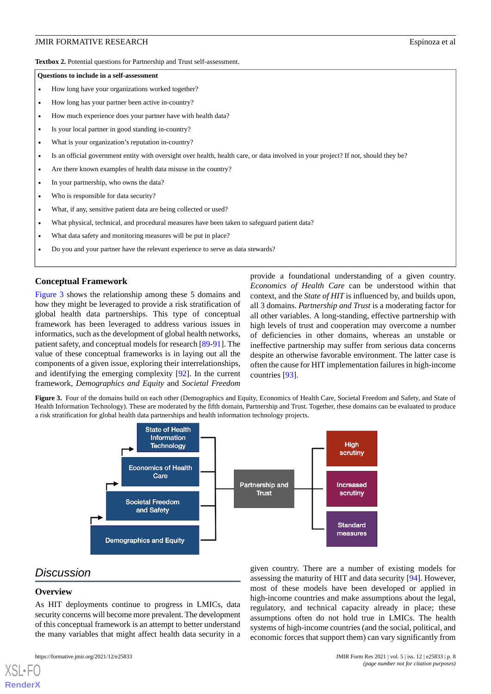<span id="page-7-0"></span>**Textbox 2.** Potential questions for Partnership and Trust self-assessment.

#### **Questions to include in a self-assessment**

- How long have your organizations worked together?
- How long has your partner been active in-country?
- How much experience does your partner have with health data?
- Is your local partner in good standing in-country?
- What is your organization's reputation in-country?
- Is an official government entity with oversight over health, health care, or data involved in your project? If not, should they be?
- Are there known examples of health data misuse in the country?
- In your partnership, who owns the data?
- Who is responsible for data security?
- What, if any, sensitive patient data are being collected or used?
- What physical, technical, and procedural measures have been taken to safeguard patient data?
- What data safety and monitoring measures will be put in place?
- Do you and your partner have the relevant experience to serve as data stewards?

#### **Conceptual Framework**

[Figure 3](#page-7-1) shows the relationship among these 5 domains and how they might be leveraged to provide a risk stratification of global health data partnerships. This type of conceptual framework has been leveraged to address various issues in informatics, such as the development of global health networks, patient safety, and conceptual models for research [[89](#page-13-4)[-91](#page-13-5)]. The value of these conceptual frameworks is in laying out all the components of a given issue, exploring their interrelationships, and identifying the emerging complexity [\[92](#page-13-6)]. In the current framework, *Demographics and Equity* and *Societal Freedom* provide a foundational understanding of a given country. *Economics of Health Care* can be understood within that context, and the *State of HIT* is influenced by, and builds upon, all 3 domains. *Partnership and Trust* is a moderating factor for all other variables. A long-standing, effective partnership with high levels of trust and cooperation may overcome a number of deficiencies in other domains, whereas an unstable or ineffective partnership may suffer from serious data concerns despite an otherwise favorable environment. The latter case is often the cause for HIT implementation failures in high-income countries [\[93](#page-13-7)].

<span id="page-7-1"></span>Figure 3. Four of the domains build on each other (Demographics and Equity, Economics of Health Care, Societal Freedom and Safety, and State of Health Information Technology). These are moderated by the fifth domain, Partnership and Trust. Together, these domains can be evaluated to produce a risk stratification for global health data partnerships and health information technology projects.



## *Discussion*

#### **Overview**

[XSL](http://www.w3.org/Style/XSL)•FO **[RenderX](http://www.renderx.com/)**

As HIT deployments continue to progress in LMICs, data security concerns will become more prevalent. The development of this conceptual framework is an attempt to better understand the many variables that might affect health data security in a

given country. There are a number of existing models for assessing the maturity of HIT and data security [\[94](#page-13-8)]. However, most of these models have been developed or applied in high-income countries and make assumptions about the legal, regulatory, and technical capacity already in place; these assumptions often do not hold true in LMICs. The health systems of high-income countries (and the social, political, and economic forces that support them) can vary significantly from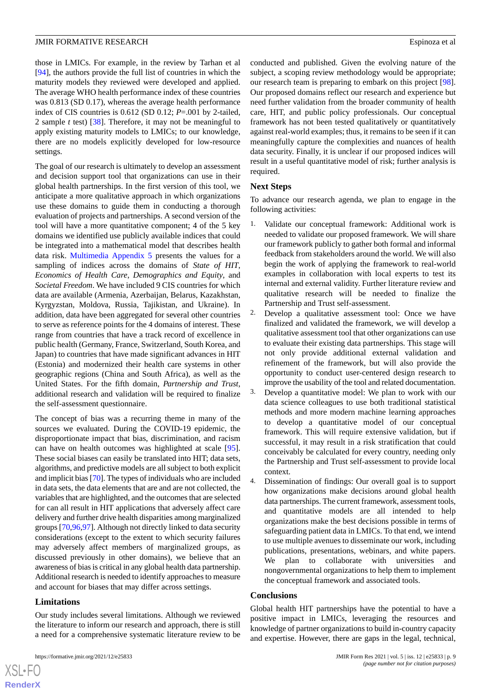those in LMICs. For example, in the review by Tarhan et al [[94\]](#page-13-8), the authors provide the full list of countries in which the maturity models they reviewed were developed and applied. The average WHO health performance index of these countries was 0.813 (SD 0.17), whereas the average health performance index of CIS countries is 0.612 (SD 0.12; *P*=.001 by 2-tailed, 2 sample *t* test) [\[38](#page-11-7)]. Therefore, it may not be meaningful to apply existing maturity models to LMICs; to our knowledge, there are no models explicitly developed for low-resource settings.

The goal of our research is ultimately to develop an assessment and decision support tool that organizations can use in their global health partnerships. In the first version of this tool, we anticipate a more qualitative approach in which organizations use these domains to guide them in conducting a thorough evaluation of projects and partnerships. A second version of the tool will have a more quantitative component; 4 of the 5 key domains we identified use publicly available indices that could be integrated into a mathematical model that describes health data risk. [Multimedia Appendix 5](#page-9-7) presents the values for a sampling of indices across the domains of *State of HIT*, *Economics of Health Care*, *Demographics and Equity*, and *Societal Freedom*. We have included 9 CIS countries for which data are available (Armenia, Azerbaijan, Belarus, Kazakhstan, Kyrgyzstan, Moldova, Russia, Tajikistan, and Ukraine). In addition, data have been aggregated for several other countries to serve as reference points for the 4 domains of interest. These range from countries that have a track record of excellence in public health (Germany, France, Switzerland, South Korea, and Japan) to countries that have made significant advances in HIT (Estonia) and modernized their health care systems in other geographic regions (China and South Africa), as well as the United States. For the fifth domain, *Partnership and Trust*, additional research and validation will be required to finalize the self-assessment questionnaire.

The concept of bias was a recurring theme in many of the sources we evaluated. During the COVID-19 epidemic, the disproportionate impact that bias, discrimination, and racism can have on health outcomes was highlighted at scale [[95\]](#page-13-9). These social biases can easily be translated into HIT; data sets, algorithms, and predictive models are all subject to both explicit and implicit bias [\[70\]](#page-12-10). The types of individuals who are included in data sets, the data elements that are and are not collected, the variables that are highlighted, and the outcomes that are selected for can all result in HIT applications that adversely affect care delivery and further drive health disparities among marginalized groups [\[70](#page-12-10),[96,](#page-13-10)[97](#page-13-11)]. Although not directly linked to data security considerations (except to the extent to which security failures may adversely affect members of marginalized groups, as discussed previously in other domains), we believe that an awareness of bias is critical in any global health data partnership. Additional research is needed to identify approaches to measure and account for biases that may differ across settings.

#### **Limitations**

 $XSI - F($ **[RenderX](http://www.renderx.com/)**

Our study includes several limitations. Although we reviewed the literature to inform our research and approach, there is still a need for a comprehensive systematic literature review to be

conducted and published. Given the evolving nature of the subject, a scoping review methodology would be appropriate; our research team is preparing to embark on this project [[98\]](#page-13-12). Our proposed domains reflect our research and experience but need further validation from the broader community of health care, HIT, and public policy professionals. Our conceptual framework has not been tested qualitatively or quantitatively against real-world examples; thus, it remains to be seen if it can meaningfully capture the complexities and nuances of health data security. Finally, it is unclear if our proposed indices will result in a useful quantitative model of risk; further analysis is required.

#### **Next Steps**

To advance our research agenda, we plan to engage in the following activities:

- 1. Validate our conceptual framework: Additional work is needed to validate our proposed framework. We will share our framework publicly to gather both formal and informal feedback from stakeholders around the world. We will also begin the work of applying the framework to real-world examples in collaboration with local experts to test its internal and external validity. Further literature review and qualitative research will be needed to finalize the Partnership and Trust self-assessment.
- 2. Develop a qualitative assessment tool: Once we have finalized and validated the framework, we will develop a qualitative assessment tool that other organizations can use to evaluate their existing data partnerships. This stage will not only provide additional external validation and refinement of the framework, but will also provide the opportunity to conduct user-centered design research to improve the usability of the tool and related documentation.
- 3. Develop a quantitative model: We plan to work with our data science colleagues to use both traditional statistical methods and more modern machine learning approaches to develop a quantitative model of our conceptual framework. This will require extensive validation, but if successful, it may result in a risk stratification that could conceivably be calculated for every country, needing only the Partnership and Trust self-assessment to provide local context.
- 4. Dissemination of findings: Our overall goal is to support how organizations make decisions around global health data partnerships. The current framework, assessment tools, and quantitative models are all intended to help organizations make the best decisions possible in terms of safeguarding patient data in LMICs. To that end, we intend to use multiple avenues to disseminate our work, including publications, presentations, webinars, and white papers. We plan to collaborate with universities and nongovernmental organizations to help them to implement the conceptual framework and associated tools.

#### **Conclusions**

Global health HIT partnerships have the potential to have a positive impact in LMICs, leveraging the resources and knowledge of partner organizations to build in-country capacity and expertise. However, there are gaps in the legal, technical,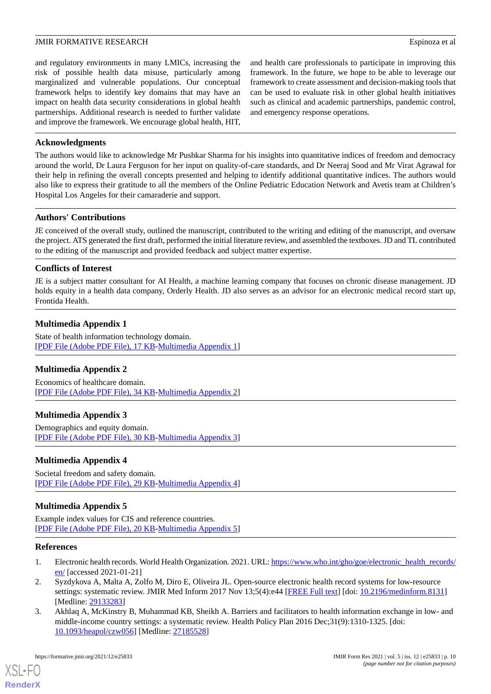and regulatory environments in many LMICs, increasing the risk of possible health data misuse, particularly among marginalized and vulnerable populations. Our conceptual framework helps to identify key domains that may have an impact on health data security considerations in global health partnerships. Additional research is needed to further validate and improve the framework. We encourage global health, HIT,

and health care professionals to participate in improving this framework. In the future, we hope to be able to leverage our framework to create assessment and decision-making tools that can be used to evaluate risk in other global health initiatives such as clinical and academic partnerships, pandemic control, and emergency response operations.

#### **Acknowledgments**

The authors would like to acknowledge Mr Pushkar Sharma for his insights into quantitative indices of freedom and democracy around the world, Dr Laura Ferguson for her input on quality-of-care standards, and Dr Neeraj Sood and Mr Virat Agrawal for their help in refining the overall concepts presented and helping to identify additional quantitative indices. The authors would also like to express their gratitude to all the members of the Online Pediatric Education Network and Avetis team at Children's Hospital Los Angeles for their camaraderie and support.

#### **Authors' Contributions**

JE conceived of the overall study, outlined the manuscript, contributed to the writing and editing of the manuscript, and oversaw the project. ATS generated the first draft, performed the initial literature review, and assembled the textboxes. JD and TL contributed to the editing of the manuscript and provided feedback and subject matter expertise.

#### **Conflicts of Interest**

<span id="page-9-3"></span>JE is a subject matter consultant for AI Health, a machine learning company that focuses on chronic disease management. JD holds equity in a health data company, Orderly Health. JD also serves as an advisor for an electronic medical record start up, Frontida Health.

#### **Multimedia Appendix 1**

<span id="page-9-4"></span>State of health information technology domain. [[PDF File \(Adobe PDF File\), 17 KB](https://jmir.org/api/download?alt_name=formative_v5i12e25833_app1.pdf&filename=203180eeba50fa64c3dc9cb9803a5052.pdf)-[Multimedia Appendix 1\]](https://jmir.org/api/download?alt_name=formative_v5i12e25833_app1.pdf&filename=203180eeba50fa64c3dc9cb9803a5052.pdf)

#### <span id="page-9-5"></span>**Multimedia Appendix 2**

Economics of healthcare domain. [[PDF File \(Adobe PDF File\), 34 KB](https://jmir.org/api/download?alt_name=formative_v5i12e25833_app2.pdf&filename=3cc8a800bdcbafd1fafab1c01fa32a69.pdf)-[Multimedia Appendix 2\]](https://jmir.org/api/download?alt_name=formative_v5i12e25833_app2.pdf&filename=3cc8a800bdcbafd1fafab1c01fa32a69.pdf)

#### <span id="page-9-6"></span>**Multimedia Appendix 3**

Demographics and equity domain. [[PDF File \(Adobe PDF File\), 30 KB](https://jmir.org/api/download?alt_name=formative_v5i12e25833_app3.pdf&filename=9b7a0ef2fb1ea274407744a27c328e70.pdf)-[Multimedia Appendix 3\]](https://jmir.org/api/download?alt_name=formative_v5i12e25833_app3.pdf&filename=9b7a0ef2fb1ea274407744a27c328e70.pdf)

#### <span id="page-9-7"></span>**Multimedia Appendix 4**

Societal freedom and safety domain. [[PDF File \(Adobe PDF File\), 29 KB](https://jmir.org/api/download?alt_name=formative_v5i12e25833_app4.pdf&filename=4ac8bae93e6c6c7fae86aa4b4343ca86.pdf)-[Multimedia Appendix 4\]](https://jmir.org/api/download?alt_name=formative_v5i12e25833_app4.pdf&filename=4ac8bae93e6c6c7fae86aa4b4343ca86.pdf)

#### <span id="page-9-0"></span>**Multimedia Appendix 5**

<span id="page-9-1"></span>Example index values for CIS and reference countries. [[PDF File \(Adobe PDF File\), 20 KB](https://jmir.org/api/download?alt_name=formative_v5i12e25833_app5.pdf&filename=b7f12c451befbc563f73e49f3a0d3fe4.pdf)-[Multimedia Appendix 5\]](https://jmir.org/api/download?alt_name=formative_v5i12e25833_app5.pdf&filename=b7f12c451befbc563f73e49f3a0d3fe4.pdf)

#### <span id="page-9-2"></span>**References**

- 1. Electronic health records. World Health Organization. 2021. URL: [https://www.who.int/gho/goe/electronic\\_health\\_records/](https://www.who.int/gho/goe/electronic_health_records/en/) [en/](https://www.who.int/gho/goe/electronic_health_records/en/) [accessed 2021-01-21]
- 2. Syzdykova A, Malta A, Zolfo M, Diro E, Oliveira JL. Open-source electronic health record systems for low-resource settings: systematic review. JMIR Med Inform 2017 Nov 13;5(4):e44 [\[FREE Full text\]](https://medinform.jmir.org/2017/4/e44/) [doi: [10.2196/medinform.8131\]](http://dx.doi.org/10.2196/medinform.8131) [Medline: [29133283](http://www.ncbi.nlm.nih.gov/entrez/query.fcgi?cmd=Retrieve&db=PubMed&list_uids=29133283&dopt=Abstract)]
- 3. Akhlaq A, McKinstry B, Muhammad KB, Sheikh A. Barriers and facilitators to health information exchange in low- and middle-income country settings: a systematic review. Health Policy Plan 2016 Dec;31(9):1310-1325. [doi: [10.1093/heapol/czw056](http://dx.doi.org/10.1093/heapol/czw056)] [Medline: [27185528](http://www.ncbi.nlm.nih.gov/entrez/query.fcgi?cmd=Retrieve&db=PubMed&list_uids=27185528&dopt=Abstract)]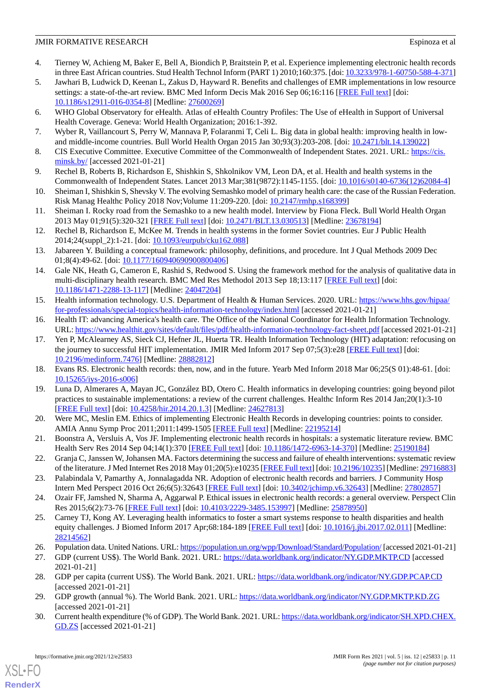- <span id="page-10-0"></span>4. Tierney W, Achieng M, Baker E, Bell A, Biondich P, Braitstein P, et al. Experience implementing electronic health records in three East African countries. Stud Health Technol Inform (PART 1) 2010;160:375. [doi: [10.3233/978-1-60750-588-4-371\]](http://dx.doi.org/10.3233/978-1-60750-588-4-371)
- <span id="page-10-1"></span>5. Jawhari B, Ludwick D, Keenan L, Zakus D, Hayward R. Benefits and challenges of EMR implementations in low resource settings: a state-of-the-art review. BMC Med Inform Decis Mak 2016 Sep 06;16:116 [[FREE Full text](https://bmcmedinformdecismak.biomedcentral.com/articles/10.1186/s12911-016-0354-8)] [doi: [10.1186/s12911-016-0354-8\]](http://dx.doi.org/10.1186/s12911-016-0354-8) [Medline: [27600269](http://www.ncbi.nlm.nih.gov/entrez/query.fcgi?cmd=Retrieve&db=PubMed&list_uids=27600269&dopt=Abstract)]
- <span id="page-10-3"></span><span id="page-10-2"></span>6. WHO Global Observatory for eHealth. Atlas of eHealth Country Profiles: The Use of eHealth in Support of Universal Health Coverage. Geneva: World Health Organization; 2016:1-392.
- <span id="page-10-4"></span>7. Wyber R, Vaillancourt S, Perry W, Mannava P, Folaranmi T, Celi L. Big data in global health: improving health in lowand middle-income countries. Bull World Health Organ 2015 Jan 30;93(3):203-208. [doi: [10.2471/blt.14.139022\]](http://dx.doi.org/10.2471/blt.14.139022)
- <span id="page-10-5"></span>8. CIS Executive Committee. Executive Committee of the Commonwealth of Independent States. 2021. URL: [https://cis.](https://cis.minsk.by/) [minsk.by/](https://cis.minsk.by/) [accessed 2021-01-21]
- 9. Rechel B, Roberts B, Richardson E, Shishkin S, Shkolnikov VM, Leon DA, et al. Health and health systems in the Commonwealth of Independent States. Lancet 2013 Mar;381(9872):1145-1155. [doi: [10.1016/s0140-6736\(12\)62084-4\]](http://dx.doi.org/10.1016/s0140-6736(12)62084-4)
- <span id="page-10-6"></span>10. Sheiman I, Shishkin S, Shevsky V. The evolving Semashko model of primary health care: the case of the Russian Federation. Risk Manag Healthc Policy 2018 Nov;Volume 11:209-220. [doi: [10.2147/rmhp.s168399](http://dx.doi.org/10.2147/rmhp.s168399)]
- <span id="page-10-7"></span>11. Sheiman I. Rocky road from the Semashko to a new health model. Interview by Fiona Fleck. Bull World Health Organ 2013 May 01;91(5):320-321 [\[FREE Full text\]](http://europepmc.org/abstract/MED/23678194) [doi: [10.2471/BLT.13.030513](http://dx.doi.org/10.2471/BLT.13.030513)] [Medline: [23678194](http://www.ncbi.nlm.nih.gov/entrez/query.fcgi?cmd=Retrieve&db=PubMed&list_uids=23678194&dopt=Abstract)]
- <span id="page-10-8"></span>12. Rechel B, Richardson E, McKee M. Trends in health systems in the former Soviet countries. Eur J Public Health 2014;24(suppl\_2):1-21. [doi: [10.1093/eurpub/cku162.088\]](http://dx.doi.org/10.1093/eurpub/cku162.088)
- <span id="page-10-9"></span>13. Jabareen Y. Building a conceptual framework: philosophy, definitions, and procedure. Int J Qual Methods 2009 Dec 01;8(4):49-62. [doi: [10.1177/160940690900800406\]](http://dx.doi.org/10.1177/160940690900800406)
- <span id="page-10-10"></span>14. Gale NK, Heath G, Cameron E, Rashid S, Redwood S. Using the framework method for the analysis of qualitative data in multi-disciplinary health research. BMC Med Res Methodol 2013 Sep 18;13:117 [[FREE Full text](https://bmcmedresmethodol.biomedcentral.com/articles/10.1186/1471-2288-13-117)] [doi: [10.1186/1471-2288-13-117\]](http://dx.doi.org/10.1186/1471-2288-13-117) [Medline: [24047204\]](http://www.ncbi.nlm.nih.gov/entrez/query.fcgi?cmd=Retrieve&db=PubMed&list_uids=24047204&dopt=Abstract)
- <span id="page-10-12"></span><span id="page-10-11"></span>15. Health information technology. U.S. Department of Health & Human Services. 2020. URL: [https://www.hhs.gov/hipaa/](https://www.hhs.gov/hipaa/for-professionals/special-topics/health-information-technology/index.html) [for-professionals/special-topics/health-information-technology/index.html](https://www.hhs.gov/hipaa/for-professionals/special-topics/health-information-technology/index.html) [accessed 2021-01-21]
- 16. Health IT: advancing America's health care. The Office of the National Coordinator for Health Information Technology. URL:<https://www.healthit.gov/sites/default/files/pdf/health-information-technology-fact-sheet.pdf> [accessed 2021-01-21]
- <span id="page-10-14"></span><span id="page-10-13"></span>17. Yen P, McAlearney AS, Sieck CJ, Hefner JL, Huerta TR. Health Information Technology (HIT) adaptation: refocusing on the journey to successful HIT implementation. JMIR Med Inform 2017 Sep 07;5(3):e28 [[FREE Full text](https://medinform.jmir.org/2017/3/e28/)] [doi: [10.2196/medinform.7476\]](http://dx.doi.org/10.2196/medinform.7476) [Medline: [28882812](http://www.ncbi.nlm.nih.gov/entrez/query.fcgi?cmd=Retrieve&db=PubMed&list_uids=28882812&dopt=Abstract)]
- <span id="page-10-15"></span>18. Evans RS. Electronic health records: then, now, and in the future. Yearb Med Inform 2018 Mar 06;25(S 01):48-61. [doi: [10.15265/iys-2016-s006](http://dx.doi.org/10.15265/iys-2016-s006)]
- <span id="page-10-16"></span>19. Luna D, Almerares A, Mayan JC, González BD, Otero C. Health informatics in developing countries: going beyond pilot practices to sustainable implementations: a review of the current challenges. Healthc Inform Res 2014 Jan;20(1):3-10 [[FREE Full text](https://www.e-hir.org/DOIx.php?id=10.4258/hir.2014.20.1.3)] [doi: [10.4258/hir.2014.20.1.3](http://dx.doi.org/10.4258/hir.2014.20.1.3)] [Medline: [24627813](http://www.ncbi.nlm.nih.gov/entrez/query.fcgi?cmd=Retrieve&db=PubMed&list_uids=24627813&dopt=Abstract)]
- <span id="page-10-17"></span>20. Were MC, Meslin EM. Ethics of implementing Electronic Health Records in developing countries: points to consider. AMIA Annu Symp Proc 2011;2011:1499-1505 [[FREE Full text](http://europepmc.org/abstract/MED/22195214)] [Medline: [22195214\]](http://www.ncbi.nlm.nih.gov/entrez/query.fcgi?cmd=Retrieve&db=PubMed&list_uids=22195214&dopt=Abstract)
- <span id="page-10-18"></span>21. Boonstra A, Versluis A, Vos JF. Implementing electronic health records in hospitals: a systematic literature review. BMC Health Serv Res 2014 Sep 04;14(1):370 [\[FREE Full text](https://bmchealthservres.biomedcentral.com/articles/10.1186/1472-6963-14-370)] [doi: [10.1186/1472-6963-14-370\]](http://dx.doi.org/10.1186/1472-6963-14-370) [Medline: [25190184\]](http://www.ncbi.nlm.nih.gov/entrez/query.fcgi?cmd=Retrieve&db=PubMed&list_uids=25190184&dopt=Abstract)
- <span id="page-10-20"></span><span id="page-10-19"></span>22. Granja C, Janssen W, Johansen MA. Factors determining the success and failure of ehealth interventions: systematic review of the literature. J Med Internet Res 2018 May 01;20(5):e10235 [\[FREE Full text](http://www.jmir.org/2018/5/e10235/)] [doi: [10.2196/10235\]](http://dx.doi.org/10.2196/10235) [Medline: [29716883\]](http://www.ncbi.nlm.nih.gov/entrez/query.fcgi?cmd=Retrieve&db=PubMed&list_uids=29716883&dopt=Abstract)
- 23. Palabindala V, Pamarthy A, Jonnalagadda NR. Adoption of electronic health records and barriers. J Community Hosp Intern Med Perspect 2016 Oct 26;6(5):32643 [[FREE Full text](http://europepmc.org/abstract/MED/27802857)] [doi: [10.3402/jchimp.v6.32643](http://dx.doi.org/10.3402/jchimp.v6.32643)] [Medline: [27802857](http://www.ncbi.nlm.nih.gov/entrez/query.fcgi?cmd=Retrieve&db=PubMed&list_uids=27802857&dopt=Abstract)]
- <span id="page-10-21"></span>24. Ozair FF, Jamshed N, Sharma A, Aggarwal P. Ethical issues in electronic health records: a general overview. Perspect Clin Res 2015;6(2):73-76 [\[FREE Full text\]](http://www.picronline.org/article.asp?issn=2229-3485;year=2015;volume=6;issue=2;spage=73;epage=76;aulast=Ozair) [doi: [10.4103/2229-3485.153997](http://dx.doi.org/10.4103/2229-3485.153997)] [Medline: [25878950\]](http://www.ncbi.nlm.nih.gov/entrez/query.fcgi?cmd=Retrieve&db=PubMed&list_uids=25878950&dopt=Abstract)
- 25. Carney TJ, Kong AY. Leveraging health informatics to foster a smart systems response to health disparities and health equity challenges. J Biomed Inform 2017 Apr;68:184-189 [[FREE Full text](https://linkinghub.elsevier.com/retrieve/pii/S1532-0464(17)30036-9)] [doi: [10.1016/j.jbi.2017.02.011](http://dx.doi.org/10.1016/j.jbi.2017.02.011)] [Medline: [28214562](http://www.ncbi.nlm.nih.gov/entrez/query.fcgi?cmd=Retrieve&db=PubMed&list_uids=28214562&dopt=Abstract)]
- 26. Population data. United Nations. URL:<https://population.un.org/wpp/Download/Standard/Population/> [accessed 2021-01-21]
- 27. GDP (current US\$). The World Bank. 2021. URL: <https://data.worldbank.org/indicator/NY.GDP.MKTP.CD> [accessed 2021-01-21]
- 28. GDP per capita (current US\$). The World Bank. 2021. URL: <https://data.worldbank.org/indicator/NY.GDP.PCAP.CD> [accessed 2021-01-21]
- 29. GDP growth (annual %). The World Bank. 2021. URL:<https://data.worldbank.org/indicator/NY.GDP.MKTP.KD.ZG> [accessed 2021-01-21]
- 30. Current health expenditure (% of GDP). The World Bank. 2021. URL: [https://data.worldbank.org/indicator/SH.XPD.CHEX.](https://data.worldbank.org/indicator/SH.XPD.CHEX.GD.ZS) [GD.ZS](https://data.worldbank.org/indicator/SH.XPD.CHEX.GD.ZS) [accessed 2021-01-21]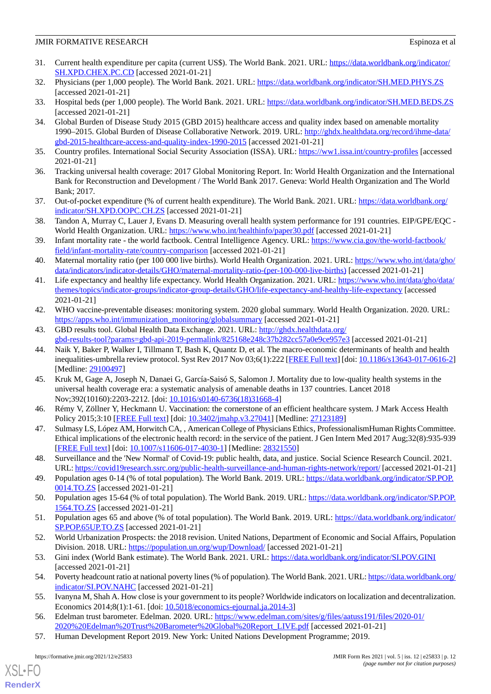- <span id="page-11-1"></span>31. Current health expenditure per capita (current US\$). The World Bank. 2021. URL: [https://data.worldbank.org/indicator/](https://data.worldbank.org/indicator/SH.XPD.CHEX.PC.CD) [SH.XPD.CHEX.PC.CD](https://data.worldbank.org/indicator/SH.XPD.CHEX.PC.CD) [accessed 2021-01-21]
- <span id="page-11-3"></span>32. Physicians (per 1,000 people). The World Bank. 2021. URL:<https://data.worldbank.org/indicator/SH.MED.PHYS.ZS> [accessed 2021-01-21]
- 33. Hospital beds (per 1,000 people). The World Bank. 2021. URL:<https://data.worldbank.org/indicator/SH.MED.BEDS.ZS> [accessed 2021-01-21]
- 34. Global Burden of Disease Study 2015 (GBD 2015) healthcare access and quality index based on amenable mortality 1990–2015. Global Burden of Disease Collaborative Network. 2019. URL: [http://ghdx.healthdata.org/record/ihme-data/](http://ghdx.healthdata.org/record/ihme-data/gbd-2015-healthcare-access-and-quality-index-1990-2015) [gbd-2015-healthcare-access-and-quality-index-1990-2015](http://ghdx.healthdata.org/record/ihme-data/gbd-2015-healthcare-access-and-quality-index-1990-2015) [accessed 2021-01-21]
- <span id="page-11-5"></span><span id="page-11-4"></span>35. Country profiles. International Social Security Association (ISSA). URL:<https://ww1.issa.int/country-profiles> [accessed 2021-01-21]
- <span id="page-11-6"></span>36. Tracking universal health coverage: 2017 Global Monitoring Report. In: World Health Organization and the International Bank for Reconstruction and Development / The World Bank 2017. Geneva: World Health Organization and The World Bank; 2017.
- <span id="page-11-7"></span>37. Out-of-pocket expenditure (% of current health expenditure). The World Bank. 2021. URL: [https://data.worldbank.org/](https://data.worldbank.org/indicator/SH.XPD.OOPC.CH.ZS) [indicator/SH.XPD.OOPC.CH.ZS](https://data.worldbank.org/indicator/SH.XPD.OOPC.CH.ZS) [accessed 2021-01-21]
- 38. Tandon A, Murray C, Lauer J, Evans D. Measuring overall health system performance for 191 countries. EIP/GPE/EQC World Health Organization. URL:<https://www.who.int/healthinfo/paper30.pdf> [accessed 2021-01-21]
- 39. Infant mortality rate the world factbook. Central Intelligence Agency. URL: [https://www.cia.gov/the-world-factbook/](https://www.cia.gov/the-world-factbook/field/infant-mortality-rate/country-comparison) [field/infant-mortality-rate/country-comparison](https://www.cia.gov/the-world-factbook/field/infant-mortality-rate/country-comparison) [accessed 2021-01-21]
- 40. Maternal mortality ratio (per 100 000 live births). World Health Organization. 2021. URL: [https://www.who.int/data/gho/](https://www.who.int/data/gho/data/indicators/indicator-details/GHO/maternal-mortality-ratio-(per-100-000-live-births)) [data/indicators/indicator-details/GHO/maternal-mortality-ratio-\(per-100-000-live-births\)](https://www.who.int/data/gho/data/indicators/indicator-details/GHO/maternal-mortality-ratio-(per-100-000-live-births)) [accessed 2021-01-21]
- 41. Life expectancy and healthy life expectancy. World Health Organization. 2021. URL: [https://www.who.int/data/gho/data/](https://www.who.int/data/gho/data/themes/topics/indicator-groups/indicator-group-details/GHO/life-expectancy-and-healthy-life-expectancy) [themes/topics/indicator-groups/indicator-group-details/GHO/life-expectancy-and-healthy-life-expectancy](https://www.who.int/data/gho/data/themes/topics/indicator-groups/indicator-group-details/GHO/life-expectancy-and-healthy-life-expectancy) [accessed 2021-01-21]
- <span id="page-11-2"></span><span id="page-11-0"></span>42. WHO vaccine-preventable diseases: monitoring system. 2020 global summary. World Health Organization. 2020. URL: [https://apps.who.int/immunization\\_monitoring/globalsummary](https://apps.who.int/immunization_monitoring/globalsummary) [accessed 2021-01-21]
- 43. GBD results tool. Global Health Data Exchange. 2021. URL: [http://ghdx.healthdata.org/](http://ghdx.healthdata.org/gbd-results-tool?params=gbd-api-2019-permalink/825168e248c37b282cc57a0e9ce957e3) [gbd-results-tool?params=gbd-api-2019-permalink/825168e248c37b282cc57a0e9ce957e3](http://ghdx.healthdata.org/gbd-results-tool?params=gbd-api-2019-permalink/825168e248c37b282cc57a0e9ce957e3) [accessed 2021-01-21]
- <span id="page-11-8"></span>44. Naik Y, Baker P, Walker I, Tillmann T, Bash K, Quantz D, et al. The macro-economic determinants of health and health inequalities-umbrella review protocol. Syst Rev 2017 Nov 03;6(1):222 [\[FREE Full text](https://systematicreviewsjournal.biomedcentral.com/articles/10.1186/s13643-017-0616-2)] [doi: [10.1186/s13643-017-0616-2](http://dx.doi.org/10.1186/s13643-017-0616-2)] [Medline: [29100497](http://www.ncbi.nlm.nih.gov/entrez/query.fcgi?cmd=Retrieve&db=PubMed&list_uids=29100497&dopt=Abstract)]
- <span id="page-11-10"></span><span id="page-11-9"></span>45. Kruk M, Gage A, Joseph N, Danaei G, García-Saisó S, Salomon J. Mortality due to low-quality health systems in the universal health coverage era: a systematic analysis of amenable deaths in 137 countries. Lancet 2018 Nov;392(10160):2203-2212. [doi: [10.1016/s0140-6736\(18\)31668-4](http://dx.doi.org/10.1016/s0140-6736(18)31668-4)]
- <span id="page-11-11"></span>46. Rémy V, Zöllner Y, Heckmann U. Vaccination: the cornerstone of an efficient healthcare system. J Mark Access Health Policy 2015;3:10 [[FREE Full text](http://europepmc.org/abstract/MED/27123189)] [doi: [10.3402/jmahp.v3.27041\]](http://dx.doi.org/10.3402/jmahp.v3.27041) [Medline: [27123189](http://www.ncbi.nlm.nih.gov/entrez/query.fcgi?cmd=Retrieve&db=PubMed&list_uids=27123189&dopt=Abstract)]
- <span id="page-11-12"></span>47. Sulmasy LS, López AM, Horwitch CA, ' American College of Physicians Ethics' ProfessionalismHuman Rights Committee. Ethical implications of the electronic health record: in the service of the patient. J Gen Intern Med 2017 Aug;32(8):935-939 [[FREE Full text](http://europepmc.org/abstract/MED/28321550)] [doi: [10.1007/s11606-017-4030-1\]](http://dx.doi.org/10.1007/s11606-017-4030-1) [Medline: [28321550](http://www.ncbi.nlm.nih.gov/entrez/query.fcgi?cmd=Retrieve&db=PubMed&list_uids=28321550&dopt=Abstract)]
- 48. Surveillance and the 'New Normal' of Covid-19: public health, data, and justice. Social Science Research Council. 2021. URL:<https://covid19research.ssrc.org/public-health-surveillance-and-human-rights-network/report/> [accessed 2021-01-21]
- <span id="page-11-13"></span>49. Population ages 0-14 (% of total population). The World Bank. 2019. URL: [https://data.worldbank.org/indicator/SP.POP.](https://data.worldbank.org/indicator/SP.POP.0014.TO.ZS) [0014.TO.ZS](https://data.worldbank.org/indicator/SP.POP.0014.TO.ZS) [accessed 2021-01-21]
- <span id="page-11-14"></span>50. Population ages 15-64 (% of total population). The World Bank. 2019. URL: [https://data.worldbank.org/indicator/SP.POP.](https://data.worldbank.org/indicator/SP.POP.1564.TO.ZS) [1564.TO.ZS](https://data.worldbank.org/indicator/SP.POP.1564.TO.ZS) [accessed 2021-01-21]
- 51. Population ages 65 and above (% of total population). The World Bank. 2019. URL: [https://data.worldbank.org/indicator/](https://data.worldbank.org/indicator/SP.POP.65UP.TO.ZS) [SP.POP.65UP.TO.ZS](https://data.worldbank.org/indicator/SP.POP.65UP.TO.ZS) [accessed 2021-01-21]
- 52. World Urbanization Prospects: the 2018 revision. United Nations, Department of Economic and Social Affairs, Population Division. 2018. URL: <https://population.un.org/wup/Download/> [accessed 2021-01-21]
- <span id="page-11-15"></span>53. Gini index (World Bank estimate). The World Bank. 2021. URL: <https://data.worldbank.org/indicator/SI.POV.GINI> [accessed 2021-01-21]
- <span id="page-11-16"></span>54. Poverty headcount ratio at national poverty lines (% of population). The World Bank. 2021. URL: [https://data.worldbank.org/](https://data.worldbank.org/indicator/SI.POV.NAHC) [indicator/SI.POV.NAHC](https://data.worldbank.org/indicator/SI.POV.NAHC) [accessed 2021-01-21]
- 55. Ivanyna M, Shah A. How close is your government to its people? Worldwide indicators on localization and decentralization. Economics 2014;8(1):1-61. [doi: [10.5018/economics-ejournal.ja.2014-3](http://dx.doi.org/10.5018/economics-ejournal.ja.2014-3)]
- 56. Edelman trust barometer. Edelman. 2020. URL: [https://www.edelman.com/sites/g/files/aatuss191/files/2020-01/](https://www.edelman.com/sites/g/files/aatuss191/files/2020-01/2020%20Edelman%20Trust%20Barometer%20Global%20Report_LIVE.pdf) [2020%20Edelman%20Trust%20Barometer%20Global%20Report\\_LIVE.pdf](https://www.edelman.com/sites/g/files/aatuss191/files/2020-01/2020%20Edelman%20Trust%20Barometer%20Global%20Report_LIVE.pdf) [accessed 2021-01-21]
- 57. Human Development Report 2019. New York: United Nations Development Programme; 2019.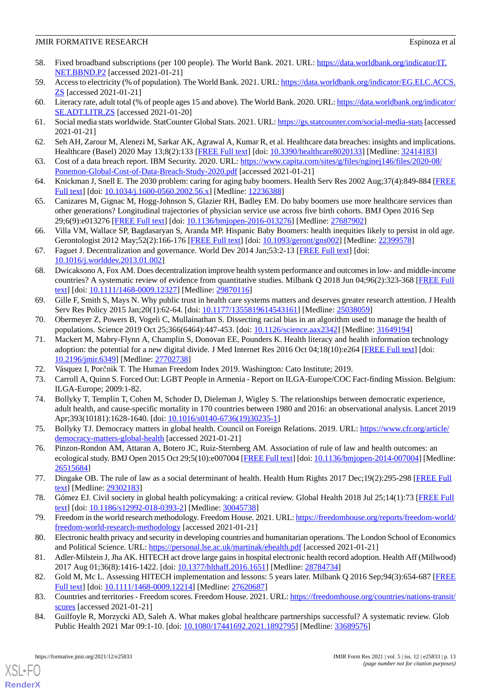- <span id="page-12-8"></span>58. Fixed broadband subscriptions (per 100 people). The World Bank. 2021. URL: [https://data.worldbank.org/indicator/IT.](https://data.worldbank.org/indicator/IT.NET.BBND.P2) [NET.BBND.P2](https://data.worldbank.org/indicator/IT.NET.BBND.P2) [accessed 2021-01-21]
- <span id="page-12-9"></span>59. Access to electricity (% of population). The World Bank. 2021. URL: [https://data.worldbank.org/indicator/EG.ELC.ACCS.](https://data.worldbank.org/indicator/EG.ELC.ACCS.ZS) **[ZS](https://data.worldbank.org/indicator/EG.ELC.ACCS.ZS)** [accessed 2021-01-21]
- <span id="page-12-0"></span>60. Literacy rate, adult total (% of people ages 15 and above). The World Bank. 2020. URL: [https://data.worldbank.org/indicator/](https://data.worldbank.org/indicator/SE.ADT.LITR.ZS) [SE.ADT.LITR.ZS](https://data.worldbank.org/indicator/SE.ADT.LITR.ZS) [accessed 2021-01-20]
- <span id="page-12-1"></span>61. Social media stats worldwide. StatCounter Global Stats. 2021. URL:<https://gs.statcounter.com/social-media-stats>[accessed 2021-01-21]
- <span id="page-12-2"></span>62. Seh AH, Zarour M, Alenezi M, Sarkar AK, Agrawal A, Kumar R, et al. Healthcare data breaches: insights and implications. Healthcare (Basel) 2020 May 13;8(2):133 [\[FREE Full text](https://www.mdpi.com/resolver?pii=healthcare8020133)] [doi: [10.3390/healthcare8020133](http://dx.doi.org/10.3390/healthcare8020133)] [Medline: [32414183\]](http://www.ncbi.nlm.nih.gov/entrez/query.fcgi?cmd=Retrieve&db=PubMed&list_uids=32414183&dopt=Abstract)
- <span id="page-12-3"></span>63. Cost of a data breach report. IBM Security. 2020. URL: [https://www.capita.com/sites/g/files/nginej146/files/2020-08/](https://www.capita.com/sites/g/files/nginej146/files/2020-08/Ponemon-Global-Cost-of-Data-Breach-Study-2020.pdf) [Ponemon-Global-Cost-of-Data-Breach-Study-2020.pdf](https://www.capita.com/sites/g/files/nginej146/files/2020-08/Ponemon-Global-Cost-of-Data-Breach-Study-2020.pdf) [accessed 2021-01-21]
- 64. Knickman J, Snell E. The 2030 problem: caring for aging baby boomers. Health Serv Res 2002 Aug;37(4):849-884 [\[FREE](http://europepmc.org/abstract/MED/12236388) [Full text\]](http://europepmc.org/abstract/MED/12236388) [doi: [10.1034/j.1600-0560.2002.56.x\]](http://dx.doi.org/10.1034/j.1600-0560.2002.56.x) [Medline: [12236388](http://www.ncbi.nlm.nih.gov/entrez/query.fcgi?cmd=Retrieve&db=PubMed&list_uids=12236388&dopt=Abstract)]
- <span id="page-12-4"></span>65. Canizares M, Gignac M, Hogg-Johnson S, Glazier RH, Badley EM. Do baby boomers use more healthcare services than other generations? Longitudinal trajectories of physician service use across five birth cohorts. BMJ Open 2016 Sep 29;6(9):e013276 [\[FREE Full text](https://bmjopen.bmj.com/lookup/pmidlookup?view=long&pmid=27687902)] [doi: [10.1136/bmjopen-2016-013276\]](http://dx.doi.org/10.1136/bmjopen-2016-013276) [Medline: [27687902](http://www.ncbi.nlm.nih.gov/entrez/query.fcgi?cmd=Retrieve&db=PubMed&list_uids=27687902&dopt=Abstract)]
- <span id="page-12-5"></span>66. Villa VM, Wallace SP, Bagdasaryan S, Aranda MP. Hispanic Baby Boomers: health inequities likely to persist in old age. Gerontologist 2012 May;52(2):166-176 [\[FREE Full text\]](http://europepmc.org/abstract/MED/22399578) [doi: [10.1093/geront/gns002](http://dx.doi.org/10.1093/geront/gns002)] [Medline: [22399578](http://www.ncbi.nlm.nih.gov/entrez/query.fcgi?cmd=Retrieve&db=PubMed&list_uids=22399578&dopt=Abstract)]
- <span id="page-12-6"></span>67. Faguet J. Decentralization and governance. World Dev 2014 Jan;53:2-13 [\[FREE Full text](https://doi.org/10.1016/j.worlddev.2013.01.002)] [doi: [10.1016/j.worlddev.2013.01.002](http://dx.doi.org/10.1016/j.worlddev.2013.01.002)]
- <span id="page-12-7"></span>68. Dwicaksono A, Fox AM. Does decentralization improve health system performance and outcomes in low- and middle-income countries? A systematic review of evidence from quantitative studies. Milbank Q 2018 Jun 04;96(2):323-368 [[FREE Full](http://europepmc.org/abstract/MED/29870116) [text](http://europepmc.org/abstract/MED/29870116)] [doi: [10.1111/1468-0009.12327\]](http://dx.doi.org/10.1111/1468-0009.12327) [Medline: [29870116](http://www.ncbi.nlm.nih.gov/entrez/query.fcgi?cmd=Retrieve&db=PubMed&list_uids=29870116&dopt=Abstract)]
- <span id="page-12-11"></span><span id="page-12-10"></span>69. Gille F, Smith S, Mays N. Why public trust in health care systems matters and deserves greater research attention. J Health Serv Res Policy 2015 Jan;20(1):62-64. [doi: [10.1177/1355819614543161\]](http://dx.doi.org/10.1177/1355819614543161) [Medline: [25038059\]](http://www.ncbi.nlm.nih.gov/entrez/query.fcgi?cmd=Retrieve&db=PubMed&list_uids=25038059&dopt=Abstract)
- 70. Obermeyer Z, Powers B, Vogeli C, Mullainathan S. Dissecting racial bias in an algorithm used to manage the health of populations. Science 2019 Oct 25;366(6464):447-453. [doi: [10.1126/science.aax2342](http://dx.doi.org/10.1126/science.aax2342)] [Medline: [31649194](http://www.ncbi.nlm.nih.gov/entrez/query.fcgi?cmd=Retrieve&db=PubMed&list_uids=31649194&dopt=Abstract)]
- <span id="page-12-13"></span><span id="page-12-12"></span>71. Mackert M, Mabry-Flynn A, Champlin S, Donovan EE, Pounders K. Health literacy and health information technology adoption: the potential for a new digital divide. J Med Internet Res 2016 Oct 04;18(10):e264 [\[FREE Full text](http://www.jmir.org/2016/10/e264/)] [doi: [10.2196/jmir.6349](http://dx.doi.org/10.2196/jmir.6349)] [Medline: [27702738](http://www.ncbi.nlm.nih.gov/entrez/query.fcgi?cmd=Retrieve&db=PubMed&list_uids=27702738&dopt=Abstract)]
- <span id="page-12-14"></span>72. Vásquez I, Porčnik T. The Human Freedom Index 2019. Washington: Cato Institute; 2019.
- <span id="page-12-15"></span>73. Carroll A, Quinn S. Forced Out: LGBT People in Armenia - Report on ILGA-Europe/COC Fact-finding Mission. Belgium: ILGA-Europe; 2009:1-82.
- <span id="page-12-16"></span>74. Bollyky T, Templin T, Cohen M, Schoder D, Dieleman J, Wigley S. The relationships between democratic experience, adult health, and cause-specific mortality in 170 countries between 1980 and 2016: an observational analysis. Lancet 2019 Apr;393(10181):1628-1640. [doi: [10.1016/s0140-6736\(19\)30235-1](http://dx.doi.org/10.1016/s0140-6736(19)30235-1)]
- 75. Bollyky TJ. Democracy matters in global health. Council on Foreign Relations. 2019. URL: [https://www.cfr.org/article/](https://www.cfr.org/article/democracy-matters-global-health) [democracy-matters-global-health](https://www.cfr.org/article/democracy-matters-global-health) [accessed 2021-01-21]
- <span id="page-12-17"></span>76. Pinzon-Rondon AM, Attaran A, Botero JC, Ruiz-Sternberg AM. Association of rule of law and health outcomes: an ecological study. BMJ Open 2015 Oct 29;5(10):e007004 [[FREE Full text\]](https://bmjopen.bmj.com/lookup/pmidlookup?view=long&pmid=26515684) [doi: [10.1136/bmjopen-2014-007004](http://dx.doi.org/10.1136/bmjopen-2014-007004)] [Medline: [26515684](http://www.ncbi.nlm.nih.gov/entrez/query.fcgi?cmd=Retrieve&db=PubMed&list_uids=26515684&dopt=Abstract)]
- <span id="page-12-19"></span><span id="page-12-18"></span>77. Dingake OB. The rule of law as a social determinant of health. Health Hum Rights 2017 Dec;19(2):295-298 [[FREE Full](http://europepmc.org/abstract/MED/29302183) [text](http://europepmc.org/abstract/MED/29302183)] [Medline: [29302183](http://www.ncbi.nlm.nih.gov/entrez/query.fcgi?cmd=Retrieve&db=PubMed&list_uids=29302183&dopt=Abstract)]
- <span id="page-12-20"></span>78. Gómez EJ. Civil society in global health policymaking: a critical review. Global Health 2018 Jul 25;14(1):73 [[FREE Full](https://globalizationandhealth.biomedcentral.com/articles/10.1186/s12992-018-0393-2) [text](https://globalizationandhealth.biomedcentral.com/articles/10.1186/s12992-018-0393-2)] [doi: [10.1186/s12992-018-0393-2\]](http://dx.doi.org/10.1186/s12992-018-0393-2) [Medline: [30045738](http://www.ncbi.nlm.nih.gov/entrez/query.fcgi?cmd=Retrieve&db=PubMed&list_uids=30045738&dopt=Abstract)]
- <span id="page-12-21"></span>79. Freedom in the world research methodology. Freedom House. 2021. URL: [https://freedomhouse.org/reports/freedom-world/](https://freedomhouse.org/reports/freedom-world/freedom-world-research-methodology) [freedom-world-research-methodology](https://freedomhouse.org/reports/freedom-world/freedom-world-research-methodology) [accessed 2021-01-21]
- <span id="page-12-22"></span>80. Electronic health privacy and security in developing countries and humanitarian operations. The London School of Economics and Political Science. URL: <https://personal.lse.ac.uk/martinak/ehealth.pdf> [accessed 2021-01-21]
- <span id="page-12-23"></span>81. Adler-Milstein J, Jha AK. HITECH act drove large gains in hospital electronic health record adoption. Health Aff (Millwood) 2017 Aug 01;36(8):1416-1422. [doi: [10.1377/hlthaff.2016.1651](http://dx.doi.org/10.1377/hlthaff.2016.1651)] [Medline: [28784734](http://www.ncbi.nlm.nih.gov/entrez/query.fcgi?cmd=Retrieve&db=PubMed&list_uids=28784734&dopt=Abstract)]
- 82. Gold M, Mc L. Assessing HITECH implementation and lessons: 5 years later. Milbank Q 2016 Sep;94(3):654-687 [\[FREE](http://europepmc.org/abstract/MED/27620687) [Full text\]](http://europepmc.org/abstract/MED/27620687) [doi: [10.1111/1468-0009.12214](http://dx.doi.org/10.1111/1468-0009.12214)] [Medline: [27620687](http://www.ncbi.nlm.nih.gov/entrez/query.fcgi?cmd=Retrieve&db=PubMed&list_uids=27620687&dopt=Abstract)]
- 83. Countries and territories Freedom scores. Freedom House. 2021. URL: [https://freedomhouse.org/countries/nations-transit/](https://freedomhouse.org/countries/nations-transit/scores) [scores](https://freedomhouse.org/countries/nations-transit/scores) [accessed 2021-01-21]
- 84. Guilfoyle R, Morzycki AD, Saleh A. What makes global healthcare partnerships successful? A systematic review. Glob Public Health 2021 Mar 09:1-10. [doi: [10.1080/17441692.2021.1892795](http://dx.doi.org/10.1080/17441692.2021.1892795)] [Medline: [33689576\]](http://www.ncbi.nlm.nih.gov/entrez/query.fcgi?cmd=Retrieve&db=PubMed&list_uids=33689576&dopt=Abstract)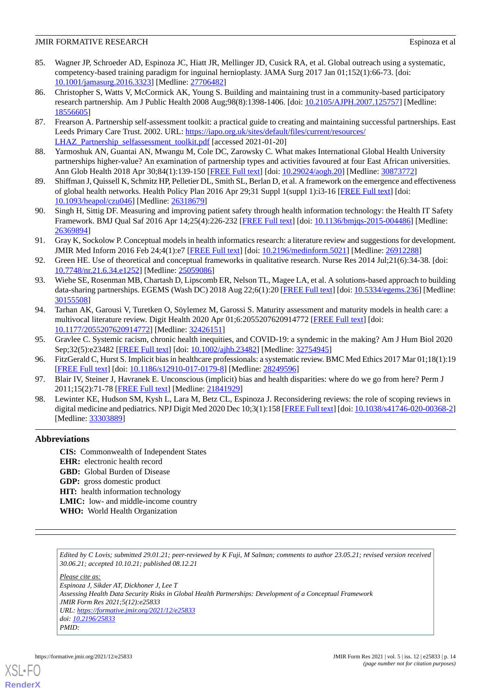- <span id="page-13-0"></span>85. Wagner JP, Schroeder AD, Espinoza JC, Hiatt JR, Mellinger JD, Cusick RA, et al. Global outreach using a systematic, competency-based training paradigm for inguinal hernioplasty. JAMA Surg 2017 Jan 01;152(1):66-73. [doi: [10.1001/jamasurg.2016.3323](http://dx.doi.org/10.1001/jamasurg.2016.3323)] [Medline: [27706482](http://www.ncbi.nlm.nih.gov/entrez/query.fcgi?cmd=Retrieve&db=PubMed&list_uids=27706482&dopt=Abstract)]
- <span id="page-13-1"></span>86. Christopher S, Watts V, McCormick AK, Young S. Building and maintaining trust in a community-based participatory research partnership. Am J Public Health 2008 Aug;98(8):1398-1406. [doi: [10.2105/AJPH.2007.125757](http://dx.doi.org/10.2105/AJPH.2007.125757)] [Medline: [18556605](http://www.ncbi.nlm.nih.gov/entrez/query.fcgi?cmd=Retrieve&db=PubMed&list_uids=18556605&dopt=Abstract)]
- <span id="page-13-3"></span><span id="page-13-2"></span>87. Frearson A. Partnership self-assessment toolkit: a practical guide to creating and maintaining successful partnerships. East Leeds Primary Care Trust. 2002. URL: [https://iapo.org.uk/sites/default/files/current/resources/](https://iapo.org.uk/sites/default/files/current/resources/LHAZ_Partnership_selfassessment_toolkit.pdf) [LHAZ\\_Partnership\\_selfassessment\\_toolkit.pdf](https://iapo.org.uk/sites/default/files/current/resources/LHAZ_Partnership_selfassessment_toolkit.pdf) [accessed 2021-01-20]
- <span id="page-13-4"></span>88. Yarmoshuk AN, Guantai AN, Mwangu M, Cole DC, Zarowsky C. What makes International Global Health University partnerships higher-value? An examination of partnership types and activities favoured at four East African universities. Ann Glob Health 2018 Apr 30;84(1):139-150 [[FREE Full text](https://annalsofglobalhealth.org/articles/10.29024/aogh.20)] [doi: [10.29024/aogh.20\]](http://dx.doi.org/10.29024/aogh.20) [Medline: [30873772](http://www.ncbi.nlm.nih.gov/entrez/query.fcgi?cmd=Retrieve&db=PubMed&list_uids=30873772&dopt=Abstract)]
- 89. Shiffman J, Quissell K, Schmitz HP, Pelletier DL, Smith SL, Berlan D, et al. A framework on the emergence and effectiveness of global health networks. Health Policy Plan 2016 Apr 29;31 Suppl 1(suppl 1):i3-16 [[FREE Full text](http://europepmc.org/abstract/MED/26318679)] [doi: [10.1093/heapol/czu046](http://dx.doi.org/10.1093/heapol/czu046)] [Medline: [26318679\]](http://www.ncbi.nlm.nih.gov/entrez/query.fcgi?cmd=Retrieve&db=PubMed&list_uids=26318679&dopt=Abstract)
- <span id="page-13-5"></span>90. Singh H, Sittig DF. Measuring and improving patient safety through health information technology: the Health IT Safety Framework. BMJ Qual Saf 2016 Apr 14;25(4):226-232 [[FREE Full text](http://qualitysafety.bmj.com/lookup/pmidlookup?view=long&pmid=26369894)] [doi: [10.1136/bmjqs-2015-004486\]](http://dx.doi.org/10.1136/bmjqs-2015-004486) [Medline: [26369894](http://www.ncbi.nlm.nih.gov/entrez/query.fcgi?cmd=Retrieve&db=PubMed&list_uids=26369894&dopt=Abstract)]
- <span id="page-13-6"></span>91. Gray K, Sockolow P. Conceptual models in health informatics research: a literature review and suggestions for development. JMIR Med Inform 2016 Feb 24;4(1):e7 [\[FREE Full text\]](https://medinform.jmir.org/2016/1/e7/) [doi: [10.2196/medinform.5021](http://dx.doi.org/10.2196/medinform.5021)] [Medline: [26912288](http://www.ncbi.nlm.nih.gov/entrez/query.fcgi?cmd=Retrieve&db=PubMed&list_uids=26912288&dopt=Abstract)]
- <span id="page-13-7"></span>92. Green HE. Use of theoretical and conceptual frameworks in qualitative research. Nurse Res 2014 Jul;21(6):34-38. [doi: [10.7748/nr.21.6.34.e1252](http://dx.doi.org/10.7748/nr.21.6.34.e1252)] [Medline: [25059086\]](http://www.ncbi.nlm.nih.gov/entrez/query.fcgi?cmd=Retrieve&db=PubMed&list_uids=25059086&dopt=Abstract)
- <span id="page-13-8"></span>93. Wiehe SE, Rosenman MB, Chartash D, Lipscomb ER, Nelson TL, Magee LA, et al. A solutions-based approach to building data-sharing partnerships. EGEMS (Wash DC) 2018 Aug 22;6(1):20 [[FREE Full text](http://europepmc.org/abstract/MED/30155508)] [doi: [10.5334/egems.236\]](http://dx.doi.org/10.5334/egems.236) [Medline: [30155508](http://www.ncbi.nlm.nih.gov/entrez/query.fcgi?cmd=Retrieve&db=PubMed&list_uids=30155508&dopt=Abstract)]
- <span id="page-13-10"></span><span id="page-13-9"></span>94. Tarhan AK, Garousi V, Turetken O, Söylemez M, Garossi S. Maturity assessment and maturity models in health care: a multivocal literature review. Digit Health 2020 Apr 01;6:2055207620914772 [\[FREE Full text\]](https://journals.sagepub.com/doi/10.1177/2055207620914772?url_ver=Z39.88-2003&rfr_id=ori:rid:crossref.org&rfr_dat=cr_pub%3dpubmed) [doi: [10.1177/2055207620914772\]](http://dx.doi.org/10.1177/2055207620914772) [Medline: [32426151\]](http://www.ncbi.nlm.nih.gov/entrez/query.fcgi?cmd=Retrieve&db=PubMed&list_uids=32426151&dopt=Abstract)
- <span id="page-13-11"></span>95. Gravlee C. Systemic racism, chronic health inequities, and COVID-19: a syndemic in the making? Am J Hum Biol 2020 Sep;32(5):e23482 [\[FREE Full text](http://europepmc.org/abstract/MED/32754945)] [doi: [10.1002/ajhb.23482](http://dx.doi.org/10.1002/ajhb.23482)] [Medline: [32754945](http://www.ncbi.nlm.nih.gov/entrez/query.fcgi?cmd=Retrieve&db=PubMed&list_uids=32754945&dopt=Abstract)]
- <span id="page-13-12"></span>96. FitzGerald C, Hurst S. Implicit bias in healthcare professionals: a systematic review. BMC Med Ethics 2017 Mar 01;18(1):19 [[FREE Full text](https://bmcmedethics.biomedcentral.com/articles/10.1186/s12910-017-0179-8)] [doi: [10.1186/s12910-017-0179-8\]](http://dx.doi.org/10.1186/s12910-017-0179-8) [Medline: [28249596](http://www.ncbi.nlm.nih.gov/entrez/query.fcgi?cmd=Retrieve&db=PubMed&list_uids=28249596&dopt=Abstract)]
- 97. Blair IV, Steiner J, Havranek E. Unconscious (implicit) bias and health disparities: where do we go from here? Perm J 2011;15(2):71-78 [[FREE Full text](http://europepmc.org/abstract/MED/21841929)] [Medline: [21841929](http://www.ncbi.nlm.nih.gov/entrez/query.fcgi?cmd=Retrieve&db=PubMed&list_uids=21841929&dopt=Abstract)]
- 98. Lewinter KE, Hudson SM, Kysh L, Lara M, Betz CL, Espinoza J. Reconsidering reviews: the role of scoping reviews in digital medicine and pediatrics. NPJ Digit Med 2020 Dec 10;3(1):158 [\[FREE Full text](https://doi.org/10.1038/s41746-020-00368-2)] [doi: [10.1038/s41746-020-00368-2](http://dx.doi.org/10.1038/s41746-020-00368-2)] [Medline: [33303889](http://www.ncbi.nlm.nih.gov/entrez/query.fcgi?cmd=Retrieve&db=PubMed&list_uids=33303889&dopt=Abstract)]

#### **Abbreviations**

**CIS:** Commonwealth of Independent States **EHR:** electronic health record **GBD:** Global Burden of Disease **GDP:** gross domestic product **HIT:** health information technology **LMIC:** low- and middle-income country **WHO:** World Health Organization

*Edited by C Lovis; submitted 29.01.21; peer-reviewed by K Fuji, M Salman; comments to author 23.05.21; revised version received 30.06.21; accepted 10.10.21; published 08.12.21*

*Please cite as:*

*Espinoza J, Sikder AT, Dickhoner J, Lee T Assessing Health Data Security Risks in Global Health Partnerships: Development of a Conceptual Framework JMIR Form Res 2021;5(12):e25833 URL: <https://formative.jmir.org/2021/12/e25833> doi: [10.2196/25833](http://dx.doi.org/10.2196/25833) PMID:*